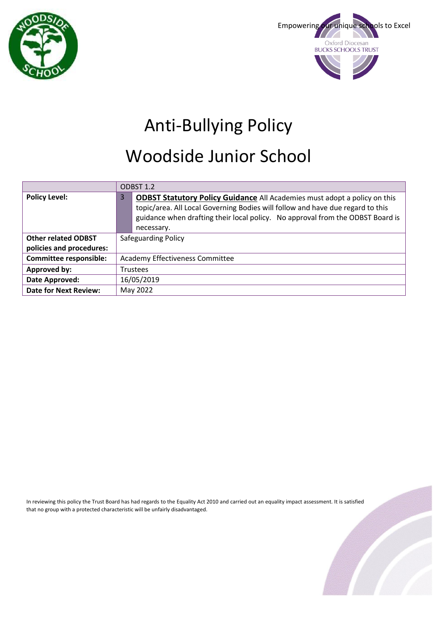



# Anti-Bullying Policy

## Woodside Junior School

|                               | ODBST 1.2                              |                                                                                                                                                                                                                                                                    |
|-------------------------------|----------------------------------------|--------------------------------------------------------------------------------------------------------------------------------------------------------------------------------------------------------------------------------------------------------------------|
| <b>Policy Level:</b>          | 3                                      | <b>ODBST Statutory Policy Guidance All Academies must adopt a policy on this</b><br>topic/area. All Local Governing Bodies will follow and have due regard to this<br>guidance when drafting their local policy. No approval from the ODBST Board is<br>necessary. |
| <b>Other related ODBST</b>    | <b>Safeguarding Policy</b>             |                                                                                                                                                                                                                                                                    |
| policies and procedures:      |                                        |                                                                                                                                                                                                                                                                    |
| <b>Committee responsible:</b> | <b>Academy Effectiveness Committee</b> |                                                                                                                                                                                                                                                                    |
| Approved by:                  | <b>Trustees</b>                        |                                                                                                                                                                                                                                                                    |
| Date Approved:                | 16/05/2019                             |                                                                                                                                                                                                                                                                    |
| <b>Date for Next Review:</b>  | May 2022                               |                                                                                                                                                                                                                                                                    |

In reviewing this policy the Trust Board has had regards to the Equality Act 2010 and carried out an equality impact assessment. It is satisfied that no group with a protected characteristic will be unfairly disadvantaged.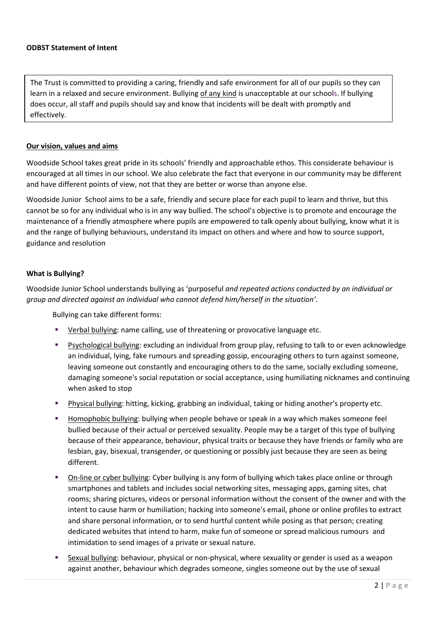The Trust is committed to providing a caring, friendly and safe environment for all of our pupils so they can learn in a relaxed and secure environment. Bullying of any kind is unacceptable at our schools. If bullying does occur, all staff and pupils should say and know that incidents will be dealt with promptly and effectively.

#### **Our vision, values and aims**

Woodside School takes great pride in its schools' friendly and approachable ethos. This considerate behaviour is encouraged at all times in our school. We also celebrate the fact that everyone in our community may be different and have different points of view, not that they are better or worse than anyone else.

Woodside Junior School aims to be a safe, friendly and secure place for each pupil to learn and thrive, but this cannot be so for any individual who is in any way bullied. The school's objective is to promote and encourage the maintenance of a friendly atmosphere where pupils are empowered to talk openly about bullying, know what it is and the range of bullying behaviours, understand its impact on others and where and how to source support, guidance and resolution

#### **What is Bullying?**

Woodside Junior School understands bullying as 'purposeful *and repeated actions conducted by an individual or group and directed against an individual who cannot defend him/herself in the situation'*.

Bullying can take different forms:

- Verbal bullying: name calling, use of threatening or provocative language etc.
- Psychological bullying: excluding an individual from group play, refusing to talk to or even acknowledge an individual, lying, fake rumours and spreading gossip, encouraging others to turn against someone, leaving someone out constantly and encouraging others to do the same, socially excluding someone, damaging someone's social reputation or social acceptance, using humiliating nicknames and continuing when asked to stop
- **Physical bullying: hitting, kicking, grabbing an individual, taking or hiding another's property etc.**
- Homophobic bullying: bullying when people behave or speak in a way which makes someone feel bullied because of their actual or perceived sexuality. People may be a target of this type of bullying because of their appearance, behaviour, physical traits or because they have friends or family who are lesbian, gay, bisexual, transgender, or questioning or possibly just because they are seen as being different.
- On-line or cyber bullying: Cyber bullying is any form of bullying which takes place online or through smartphones and tablets and includes social networking sites, messaging apps, gaming sites, chat rooms; sharing pictures, videos or personal information without the consent of the owner and with the intent to cause harm or humiliation; hacking into someone's email, phone or online profiles to extract and share personal information, or to send hurtful content while posing as that person; creating dedicated websites that intend to harm, make fun of someone or spread malicious rumours and intimidation to send images of a private or sexual nature.
- Sexual bullying: behaviour, physical or non-physical, where sexuality or gender is used as a weapon against another, behaviour which degrades someone, singles someone out by the use of sexual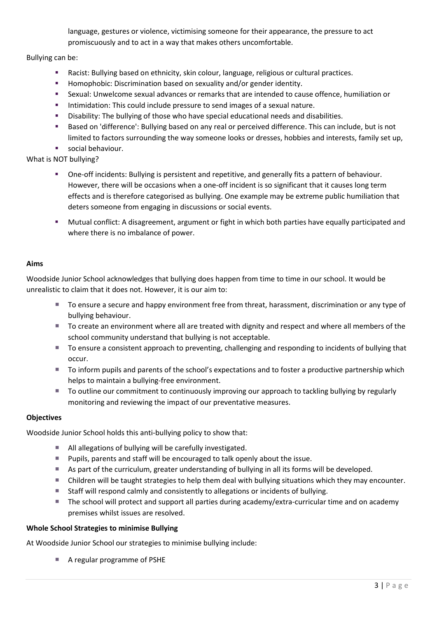language, gestures or violence, victimising someone for their appearance, the pressure to act promiscuously and to act in a way that makes others uncomfortable.

Bullying can be:

- Racist: Bullying based on ethnicity, skin colour, language, religious or cultural practices.
- **Homophobic: Discrimination based on sexuality and/or gender identity.**
- Sexual: Unwelcome sexual advances or remarks that are intended to cause offence, humiliation or
- **Intimidation: This could include pressure to send images of a sexual nature.**
- Disability: The bullying of those who have special educational needs and disabilities.
- Based on 'difference': Bullying based on any real or perceived difference. This can include, but is not limited to factors surrounding the way someone looks or dresses, hobbies and interests, family set up,
- social behaviour.

What is NOT bullying?

- One-off incidents: Bullying is persistent and repetitive, and generally fits a pattern of behaviour. However, there will be occasions when a one-off incident is so significant that it causes long term effects and is therefore categorised as bullying. One example may be extreme public humiliation that deters someone from engaging in discussions or social events.
- Mutual conflict: A disagreement, argument or fight in which both parties have equally participated and where there is no imbalance of power.

## **Aims**

Woodside Junior School acknowledges that bullying does happen from time to time in our school. It would be unrealistic to claim that it does not. However, it is our aim to:

- To ensure a secure and happy environment free from threat, harassment, discrimination or any type of bullying behaviour.
- To create an environment where all are treated with dignity and respect and where all members of the school community understand that bullying is not acceptable.
- To ensure a consistent approach to preventing, challenging and responding to incidents of bullying that occur.
- To inform pupils and parents of the school's expectations and to foster a productive partnership which helps to maintain a bullying-free environment.
- To outline our commitment to continuously improving our approach to tackling bullying by regularly monitoring and reviewing the impact of our preventative measures.

## **Objectives**

Woodside Junior School holds this anti-bullying policy to show that:

- All allegations of bullying will be carefully investigated.
- **Pupils, parents and staff will be encouraged to talk openly about the issue.**
- As part of the curriculum, greater understanding of bullying in all its forms will be developed.
- Children will be taught strategies to help them deal with bullying situations which they may encounter.
- Staff will respond calmly and consistently to allegations or incidents of bullying.
- The school will protect and support all parties during academy/extra-curricular time and on academy premises whilst issues are resolved.

## **Whole School Strategies to minimise Bullying**

At Woodside Junior School our strategies to minimise bullying include:

■ A regular programme of PSHE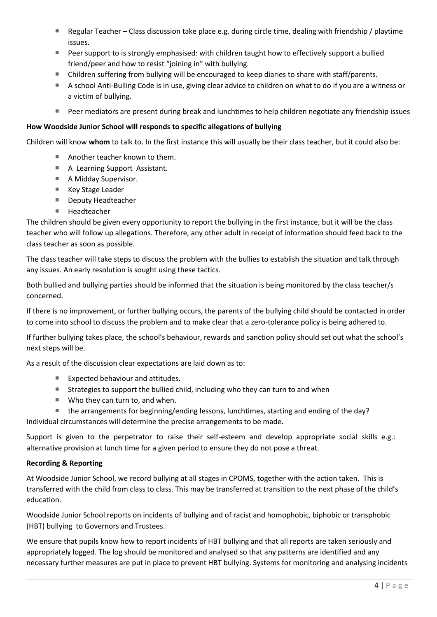- Regular Teacher Class discussion take place e.g. during circle time, dealing with friendship / playtime issues.
- **Peer support to is strongly emphasised: with children taught how to effectively support a bullied** friend/peer and how to resist "joining in" with bullying.
- Children suffering from bullying will be encouraged to keep diaries to share with staff/parents.
- A school Anti-Bulling Code is in use, giving clear advice to children on what to do if you are a witness or a victim of bullying.
- **Peer mediators are present during break and lunchtimes to help children negotiate any friendship issues**

#### **How Woodside Junior School will responds to specific allegations of bullying**

Children will know **whom** to talk to. In the first instance this will usually be their class teacher, but it could also be:

- Another teacher known to them.
- A Learning Support Assistant.
- A Midday Supervisor.
- Key Stage Leader
- Deputy Headteacher
- Headteacher

The children should be given every opportunity to report the bullying in the first instance, but it will be the class teacher who will follow up allegations. Therefore, any other adult in receipt of information should feed back to the class teacher as soon as possible.

The class teacher will take steps to discuss the problem with the bullies to establish the situation and talk through any issues. An early resolution is sought using these tactics.

Both bullied and bullying parties should be informed that the situation is being monitored by the class teacher/s concerned.

If there is no improvement, or further bullying occurs, the parents of the bullying child should be contacted in order to come into school to discuss the problem and to make clear that a zero-tolerance policy is being adhered to.

If further bullying takes place, the school's behaviour, rewards and sanction policy should set out what the school's next steps will be.

As a result of the discussion clear expectations are laid down as to:

- Expected behaviour and attitudes.
- Strategies to support the bullied child, including who they can turn to and when
- Who they can turn to, and when.
- the arrangements for beginning/ending lessons, lunchtimes, starting and ending of the day?

Individual circumstances will determine the precise arrangements to be made.

Support is given to the perpetrator to raise their self-esteem and develop appropriate social skills e.g.: alternative provision at lunch time for a given period to ensure they do not pose a threat.

## **Recording & Reporting**

At Woodside Junior School, we record bullying at all stages in CPOMS, together with the action taken. This is transferred with the child from class to class. This may be transferred at transition to the next phase of the child's education.

Woodside Junior School reports on incidents of bullying and of racist and homophobic, biphobic or transphobic (HBT) bullying to Governors and Trustees.

We ensure that pupils know how to report incidents of HBT bullying and that all reports are taken seriously and appropriately logged. The log should be monitored and analysed so that any patterns are identified and any necessary further measures are put in place to prevent HBT bullying. Systems for monitoring and analysing incidents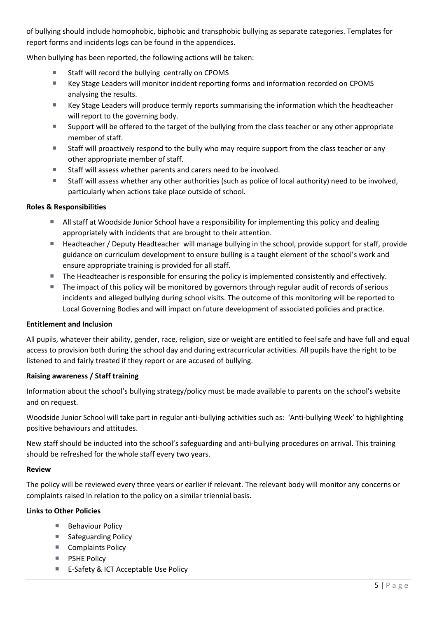of bullying should include homophobic, biphobic and transphobic bullying as separate categories. Templates for report forms and incidents logs can be found in the appendices.

When bullying has been reported, the following actions will be taken:

- Staff will record the bullying centrally on CPOMS
- Key Stage Leaders will monitor incident reporting forms and information recorded on CPOMS analysing the results.
- Key Stage Leaders will produce termly reports summarising the information which the headteacher will report to the governing body.
- Support will be offered to the target of the bullying from the class teacher or any other appropriate member of staff.
- Staff will proactively respond to the bully who may require support from the class teacher or any other appropriate member of staff.
- Staff will assess whether parents and carers need to be involved.
- Staff will assess whether any other authorities (such as police of local authority) need to be involved, particularly when actions take place outside of school.

## **Roles & Responsibilities**

- All staff at Woodside Junior School have a responsibility for implementing this policy and dealing appropriately with incidents that are brought to their attention.
- Headteacher / Deputy Headteacher will manage bullying in the school, provide support for staff, provide guidance on curriculum development to ensure bulling is a taught element of the school's work and ensure appropriate training is provided for all staff.
- The Headteacher is responsible for ensuring the policy is implemented consistently and effectively.
- The impact of this policy will be monitored by governors through regular audit of records of serious incidents and alleged bullying during school visits. The outcome of this monitoring will be reported to Local Governing Bodies and will impact on future development of associated policies and practice.

## **Entitlement and Inclusion**

All pupils, whatever their ability, gender, race, religion, size or weight are entitled to feel safe and have full and equal access to provision both during the school day and during extracurricular activities. All pupils have the right to be listened to and fairly treated if they report or are accused of bullying.

## **Raising awareness / Staff training**

Information about the school's bullying strategy/policy must be made available to parents on the school's website and on request.

Woodside Junior School will take part in regular anti-bullying activities such as: 'Anti-bullying Week' to highlighting positive behaviours and attitudes.

New staff should be inducted into the school's safeguarding and anti-bullying procedures on arrival. This training should be refreshed for the whole staff every two years.

## **Review**

The policy will be reviewed every three years or earlier if relevant. The relevant body will monitor any concerns or complaints raised in relation to the policy on a similar triennial basis.

## **Links to Other Policies**

- **Behaviour Policy**
- Safeguarding Policy
- Complaints Policy
- **PSHE Policy**
- E-Safety & ICT Acceptable Use Policy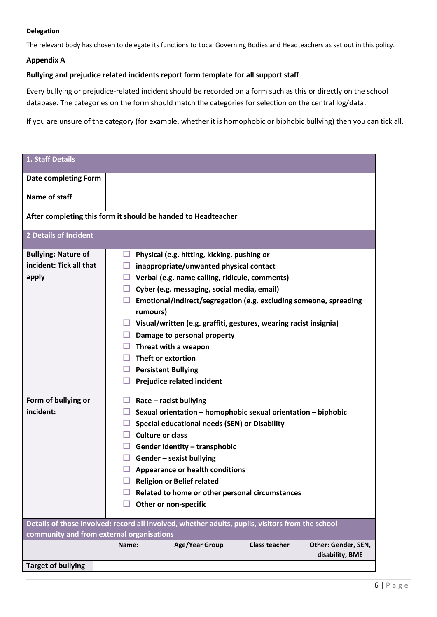#### **Delegation**

The relevant body has chosen to delegate its functions to Local Governing Bodies and Headteachers as set out in this policy.

#### **Appendix A**

#### **Bullying and prejudice related incidents report form template for all support staff**

Every bullying or prejudice-related incident should be recorded on a form such as this or directly on the school database. The categories on the form should match the categories for selection on the central log/data.

If you are unsure of the category (for example, whether it is homophobic or biphobic bullying) then you can tick all.

| 1. Staff Details                                                                                                                              |                         |                                                                   |                      |                     |  |
|-----------------------------------------------------------------------------------------------------------------------------------------------|-------------------------|-------------------------------------------------------------------|----------------------|---------------------|--|
| <b>Date completing Form</b>                                                                                                                   |                         |                                                                   |                      |                     |  |
| Name of staff                                                                                                                                 |                         |                                                                   |                      |                     |  |
| After completing this form it should be handed to Headteacher                                                                                 |                         |                                                                   |                      |                     |  |
| <b>2 Details of Incident</b>                                                                                                                  |                         |                                                                   |                      |                     |  |
| <b>Bullying: Nature of</b>                                                                                                                    | ப                       | Physical (e.g. hitting, kicking, pushing or                       |                      |                     |  |
| incident: Tick all that                                                                                                                       | ப                       | inappropriate/unwanted physical contact                           |                      |                     |  |
| apply                                                                                                                                         | ப                       | Verbal (e.g. name calling, ridicule, comments)                    |                      |                     |  |
|                                                                                                                                               | ப                       | Cyber (e.g. messaging, social media, email)                       |                      |                     |  |
|                                                                                                                                               |                         | Emotional/indirect/segregation (e.g. excluding someone, spreading |                      |                     |  |
|                                                                                                                                               | rumours)                |                                                                   |                      |                     |  |
|                                                                                                                                               | ப                       | Visual/written (e.g. graffiti, gestures, wearing racist insignia) |                      |                     |  |
|                                                                                                                                               | ⊔                       | Damage to personal property                                       |                      |                     |  |
|                                                                                                                                               |                         | Threat with a weapon                                              |                      |                     |  |
|                                                                                                                                               |                         | Theft or extortion                                                |                      |                     |  |
|                                                                                                                                               | ⊔                       | <b>Persistent Bullying</b>                                        |                      |                     |  |
|                                                                                                                                               |                         | Prejudice related incident                                        |                      |                     |  |
| Form of bullying or                                                                                                                           | □                       | $Race - racist$ bullying                                          |                      |                     |  |
| incident:                                                                                                                                     |                         | Sexual orientation - homophobic sexual orientation - biphobic     |                      |                     |  |
|                                                                                                                                               | ப                       | Special educational needs (SEN) or Disability                     |                      |                     |  |
|                                                                                                                                               | <b>Culture or class</b> |                                                                   |                      |                     |  |
|                                                                                                                                               |                         | Gender identity - transphobic                                     |                      |                     |  |
|                                                                                                                                               | ш                       | Gender - sexist bullying                                          |                      |                     |  |
|                                                                                                                                               |                         | <b>Appearance or health conditions</b>                            |                      |                     |  |
|                                                                                                                                               |                         | <b>Religion or Belief related</b>                                 |                      |                     |  |
|                                                                                                                                               |                         | Related to home or other personal circumstances                   |                      |                     |  |
|                                                                                                                                               |                         | Other or non-specific                                             |                      |                     |  |
|                                                                                                                                               |                         |                                                                   |                      |                     |  |
| Details of those involved: record all involved, whether adults, pupils, visitors from the school<br>community and from external organisations |                         |                                                                   |                      |                     |  |
|                                                                                                                                               | Name:                   | <b>Age/Year Group</b>                                             | <b>Class teacher</b> | Other: Gender, SEN, |  |
|                                                                                                                                               |                         |                                                                   |                      | disability, BME     |  |
| <b>Target of bullying</b>                                                                                                                     |                         |                                                                   |                      |                     |  |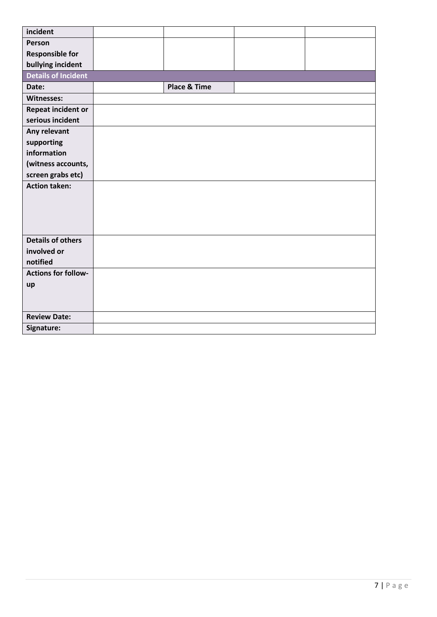| incident                   |                         |  |
|----------------------------|-------------------------|--|
| Person                     |                         |  |
| <b>Responsible for</b>     |                         |  |
| bullying incident          |                         |  |
| <b>Details of Incident</b> |                         |  |
| Date:                      | <b>Place &amp; Time</b> |  |
| Witnesses:                 |                         |  |
| Repeat incident or         |                         |  |
| serious incident           |                         |  |
| Any relevant               |                         |  |
| supporting                 |                         |  |
| information                |                         |  |
| (witness accounts,         |                         |  |
| screen grabs etc)          |                         |  |
| <b>Action taken:</b>       |                         |  |
|                            |                         |  |
|                            |                         |  |
|                            |                         |  |
| <b>Details of others</b>   |                         |  |
| involved or                |                         |  |
| notified                   |                         |  |
| <b>Actions for follow-</b> |                         |  |
| up                         |                         |  |
|                            |                         |  |
|                            |                         |  |
| <b>Review Date:</b>        |                         |  |
| Signature:                 |                         |  |